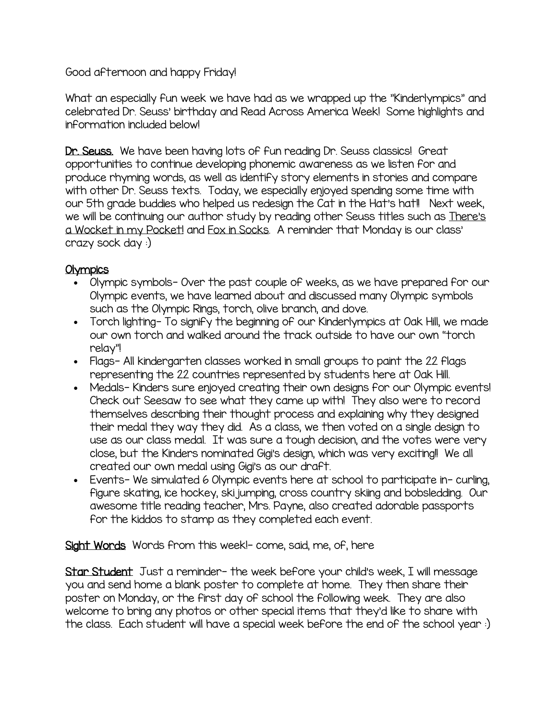Good afternoon and happy Friday!

What an especially fun week we have had as we wrapped up the "Kinderlympics" and celebrated Dr. Seuss' birthday and Read Across America Week! Some highlights and information included below!

Dr. Seuss. We have been having lots of fun reading Dr. Seuss classics! Great opportunities to continue developing phonemic awareness as we listen for and produce rhyming words, as well as identify story elements in stories and compare with other Dr. Seuss texts. Today, we especially enjoyed spending some time with our 5th grade buddies who helped us redesign the Cat in the Hat's hat!! Next week, we will be continuing our author study by reading other Seuss titles such as There's a Wocket in my Pocket! and Fox in Socks. A reminder that Monday is our class' crazy sock day :)

## **Olympics**

- Olympic symbols- Over the past couple of weeks, as we have prepared for our Olympic events, we have learned about and discussed many Olympic symbols such as the Olympic Rings, torch, olive branch, and dove.
- Torch lighting- To signify the beginning of our Kinderlympics at Oak Hill, we made our own torch and walked around the track outside to have our own "torch relay"!
- Flags- All kindergarten classes worked in small groups to paint the 22 flags representing the 22 countries represented by students here at Oak Hill.
- Medals- Kinders sure enjoyed creating their own designs for our Olympic events! Check out Seesaw to see what they came up with! They also were to record themselves describing their thought process and explaining why they designed their medal they way they did. As a class, we then voted on a single design to use as our class medal. It was sure a tough decision, and the votes were very close, but the Kinders nominated Gigi's design, which was very exciting!! We all created our own medal using Gigi's as our draft.
- Events- We simulated 6 Olympic events here at school to participate in- curling, figure skating, ice hockey, ski jumping, cross country skiing and bobsledding. Our awesome title reading teacher, Mrs. Payne, also created adorable passports for the kiddos to stamp as they completed each event.

Sight Words Words from this week!- come, said, me, of, here

Star Student Just a reminder- the week before your child's week, I will message you and send home a blank poster to complete at home. They then share their poster on Monday, or the first day of school the following week. They are also welcome to bring any photos or other special items that they'd like to share with the class. Each student will have a special week before the end of the school year :)